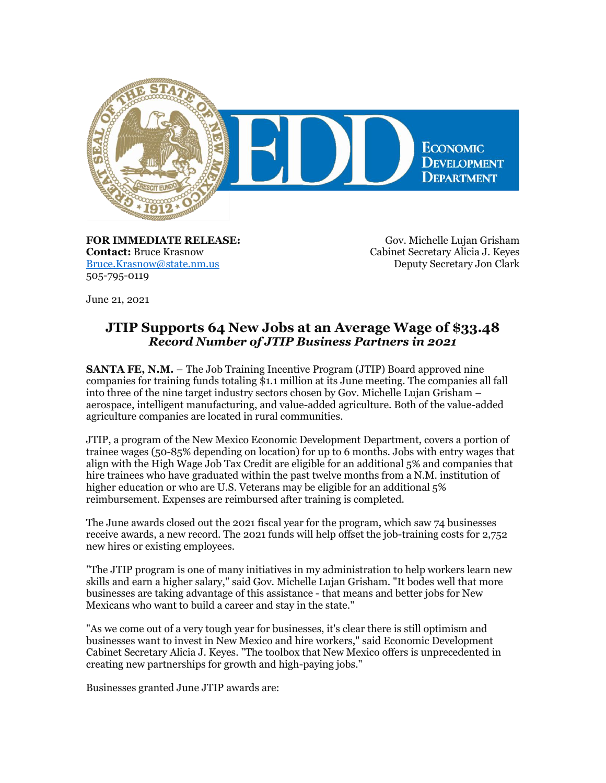

**FOR IMMEDIATE RELEASE: Contact:** Bruce Krasnow [Bruce.Krasnow@state.nm.us](mailto:Bruce.Krasnow@state.nm.us) 505-795-0119

Gov. Michelle Lujan Grisham Cabinet Secretary Alicia J. Keyes Deputy Secretary Jon Clark

June 21, 2021

## **JTIP Supports 64 New Jobs at an Average Wage of \$33.48** *Record Number of JTIP Business Partners in 2021*

**SANTA FE, N.M.** – The Job Training Incentive Program (JTIP) Board approved nine companies for training funds totaling \$1.1 million at its June meeting. The companies all fall into three of the nine target industry sectors chosen by Gov. Michelle Lujan Grisham – aerospace, intelligent manufacturing, and value-added agriculture. Both of the value-added agriculture companies are located in rural communities.

JTIP, a program of the New Mexico Economic Development Department, covers a portion of trainee wages (50-85% depending on location) for up to 6 months. Jobs with entry wages that align with the High Wage Job Tax Credit are eligible for an additional 5% and companies that hire trainees who have graduated within the past twelve months from a N.M. institution of higher education or who are U.S. Veterans may be eligible for an additional 5% reimbursement. Expenses are reimbursed after training is completed.

The June awards closed out the 2021 fiscal year for the program, which saw 74 businesses receive awards, a new record. The 2021 funds will help offset the job-training costs for 2,752 new hires or existing employees.

"The JTIP program is one of many initiatives in my administration to help workers learn new skills and earn a higher salary," said Gov. Michelle Lujan Grisham. "It bodes well that more businesses are taking advantage of this assistance - that means and better jobs for New Mexicans who want to build a career and stay in the state."

"As we come out of a very tough year for businesses, it's clear there is still optimism and businesses want to invest in New Mexico and hire workers," said Economic Development Cabinet Secretary Alicia J. Keyes. "The toolbox that New Mexico offers is unprecedented in creating new partnerships for growth and high-paying jobs."

Businesses granted June JTIP awards are: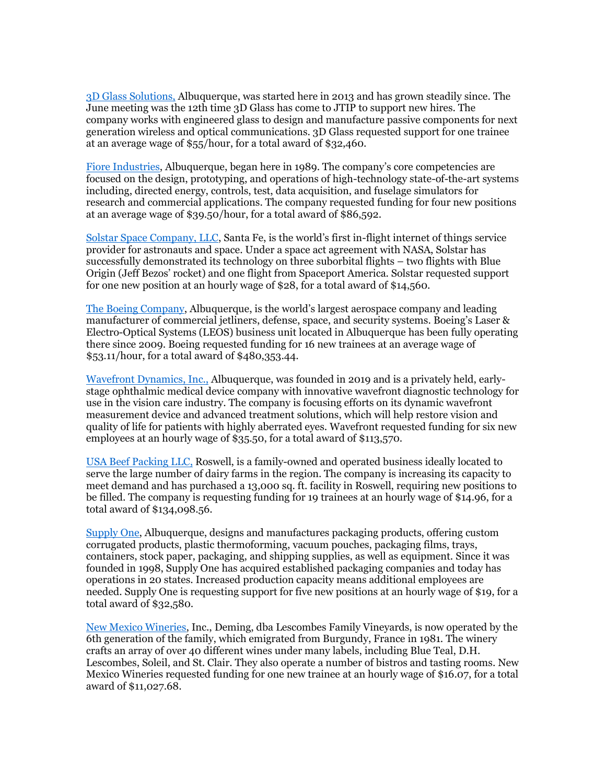[3D Glass Solutions,](https://r20.rs6.net/tn.jsp?f=001VtMji_X9hOF3EcKfEQTJJNW-Lwe6nDKmw50Y48evB9l6Hne9yMpo2BCsVwu0hj2qm2nO0fEQ3jgN91NpZqh0k9ZogUvB6LLaC1VahP3wWmuoT1a3dYwDlhM5WgcYhIKgjTm9nGXlgAuq39Gh7KbOYQ==&c=0Uh_gAwS0wOiBoX2AmrQtmxMk6qTm7X1L4acQrA0AlAq4Y7we09l1w==&ch=clwQzx45HS8hE6aosuWQQXFB_IXanjxqard7ZUnXX8FKK3FU-67PKA==) Albuquerque, was started here in 2013 and has grown steadily since. The June meeting was the 12th time 3D Glass has come to JTIP to support new hires. The company works with engineered glass to design and manufacture passive components for next generation wireless and optical communications. 3D Glass requested support for one trainee at an average wage of \$55/hour, for a total award of \$32,460.

[Fiore Industries,](https://r20.rs6.net/tn.jsp?f=001VtMji_X9hOF3EcKfEQTJJNW-Lwe6nDKmw50Y48evB9l6Hne9yMpo2BCsVwu0hj2qBY2JTV-_jwvSUZbttl85tnycwOU631rNlpCnmMldDpvRDV4L12LA7i9f4O1OqJvTzQXIXGUQBKjMYYpd5J4uwQ==&c=0Uh_gAwS0wOiBoX2AmrQtmxMk6qTm7X1L4acQrA0AlAq4Y7we09l1w==&ch=clwQzx45HS8hE6aosuWQQXFB_IXanjxqard7ZUnXX8FKK3FU-67PKA==) Albuquerque, began here in 1989. The company's core competencies are focused on the design, prototyping, and operations of high-technology state-of-the-art systems including, directed energy, controls, test, data acquisition, and fuselage simulators for research and commercial applications. The company requested funding for four new positions at an average wage of \$39.50/hour, for a total award of \$86,592.

[Solstar Space Company, LLC](https://r20.rs6.net/tn.jsp?f=001VtMji_X9hOF3EcKfEQTJJNW-Lwe6nDKmw50Y48evB9l6Hne9yMpo2BCsVwu0hj2q4jo09RVD2xh3OSaU_JYyrzOkX0IwkpHhjX5FsE5CpyypeA57ON3oHP3vztw66ECHGHupj26ZBcR9yQAQUlNDPQ==&c=0Uh_gAwS0wOiBoX2AmrQtmxMk6qTm7X1L4acQrA0AlAq4Y7we09l1w==&ch=clwQzx45HS8hE6aosuWQQXFB_IXanjxqard7ZUnXX8FKK3FU-67PKA==), Santa Fe, is the world's first in-flight internet of things service provider for astronauts and space. Under a space act agreement with NASA, Solstar has successfully demonstrated its technology on three suborbital flights – two flights with Blue Origin (Jeff Bezos' rocket) and one flight from Spaceport America. Solstar requested support for one new position at an hourly wage of \$28, for a total award of \$14,560.

[The Boeing Company](https://r20.rs6.net/tn.jsp?f=001VtMji_X9hOF3EcKfEQTJJNW-Lwe6nDKmw50Y48evB9l6Hne9yMpo2ASUoyyIQrmp6EOQk7IgALT9nWtldnWba2XTCS3jGbImotnefuzkYveWAVIE-PXui1-mSr3IuSqXbsEf6T51oC0=&c=0Uh_gAwS0wOiBoX2AmrQtmxMk6qTm7X1L4acQrA0AlAq4Y7we09l1w==&ch=clwQzx45HS8hE6aosuWQQXFB_IXanjxqard7ZUnXX8FKK3FU-67PKA==), Albuquerque, is the world's largest aerospace company and leading manufacturer of commercial jetliners, defense, space, and security systems. Boeing's Laser & Electro-Optical Systems (LEOS) business unit located in Albuquerque has been fully operating there since 2009. Boeing requested funding for 16 new trainees at an average wage of \$53.11/hour, for a total award of \$480,353.44.

[Wavefront Dynamics, Inc.,](https://r20.rs6.net/tn.jsp?f=001VtMji_X9hOF3EcKfEQTJJNW-Lwe6nDKmw50Y48evB9l6Hne9yMpo2BCsVwu0hj2q18nat6FUeR4mOxVvvoagL_Y_NoEnRJEE3lJhsbXAfkl1-VLeCJgtt34AhDQJRDU_nlVLVKqO6tcYrG7Z8mGeHQ==&c=0Uh_gAwS0wOiBoX2AmrQtmxMk6qTm7X1L4acQrA0AlAq4Y7we09l1w==&ch=clwQzx45HS8hE6aosuWQQXFB_IXanjxqard7ZUnXX8FKK3FU-67PKA==) Albuquerque, was founded in 2019 and is a privately held, earlystage ophthalmic medical device company with innovative wavefront diagnostic technology for use in the vision care industry. The company is focusing efforts on its dynamic wavefront measurement device and advanced treatment solutions, which will help restore vision and quality of life for patients with highly aberrated eyes. Wavefront requested funding for six new employees at an hourly wage of \$35.50, for a total award of \$113,570.

[USA Beef Packing LLC,](https://r20.rs6.net/tn.jsp?f=001VtMji_X9hOF3EcKfEQTJJNW-Lwe6nDKmw50Y48evB9l6Hne9yMpo2BCsVwu0hj2qsHyu7ldlCdWOPsiMJFG1rP-qyLUIC8ISLXHPQf0oOpTEgk07Qsk4VtF-OSAk28mNgYZjJkg9yQYw0UGxtzAuvw==&c=0Uh_gAwS0wOiBoX2AmrQtmxMk6qTm7X1L4acQrA0AlAq4Y7we09l1w==&ch=clwQzx45HS8hE6aosuWQQXFB_IXanjxqard7ZUnXX8FKK3FU-67PKA==) Roswell, is a family-owned and operated business ideally located to serve the large number of dairy farms in the region. The company is increasing its capacity to meet demand and has purchased a 13,000 sq. ft. facility in Roswell, requiring new positions to be filled. The company is requesting funding for 19 trainees at an hourly wage of \$14.96, for a total award of \$134,098.56.

[Supply One,](https://r20.rs6.net/tn.jsp?f=001VtMji_X9hOF3EcKfEQTJJNW-Lwe6nDKmw50Y48evB9l6Hne9yMpo2BCsVwu0hj2q0_l7-Qp7umWMMavc8-DahY2AhH2uXA5kJ5YVUq8WpJ7eJ57H-7v7tcKqcggT8_YXumVxHYk-udi_MwkqBFBzPkEpgBybVFOi06BIu6oh3OIBNUeFsa2i0w==&c=0Uh_gAwS0wOiBoX2AmrQtmxMk6qTm7X1L4acQrA0AlAq4Y7we09l1w==&ch=clwQzx45HS8hE6aosuWQQXFB_IXanjxqard7ZUnXX8FKK3FU-67PKA==) Albuquerque, designs and manufactures packaging products, offering custom corrugated products, plastic thermoforming, vacuum pouches, packaging films, trays, containers, stock paper, packaging, and shipping supplies, as well as equipment. Since it was founded in 1998, Supply One has acquired established packaging companies and today has operations in 20 states. Increased production capacity means additional employees are needed. Supply One is requesting support for five new positions at an hourly wage of \$19, for a total award of \$32,580.

[New Mexico Wineries,](https://r20.rs6.net/tn.jsp?f=001VtMji_X9hOF3EcKfEQTJJNW-Lwe6nDKmw50Y48evB9l6Hne9yMpo2FY_J6HBKXSYy73QDBG2Agmap_yiAIQvS-aeyme7wmNfQqEnRSmyuMdow-9vCC-LbfSA0nMGvI11D7iq9pj14_tQ3iiJl0CqmQ==&c=0Uh_gAwS0wOiBoX2AmrQtmxMk6qTm7X1L4acQrA0AlAq4Y7we09l1w==&ch=clwQzx45HS8hE6aosuWQQXFB_IXanjxqard7ZUnXX8FKK3FU-67PKA==) Inc., Deming, dba Lescombes Family Vineyards, is now operated by the 6th generation of the family, which emigrated from Burgundy, France in 1981. The winery crafts an array of over 40 different wines under many labels, including Blue Teal, D.H. Lescombes, Soleil, and St. Clair. They also operate a number of bistros and tasting rooms. New Mexico Wineries requested funding for one new trainee at an hourly wage of \$16.07, for a total award of \$11,027.68.